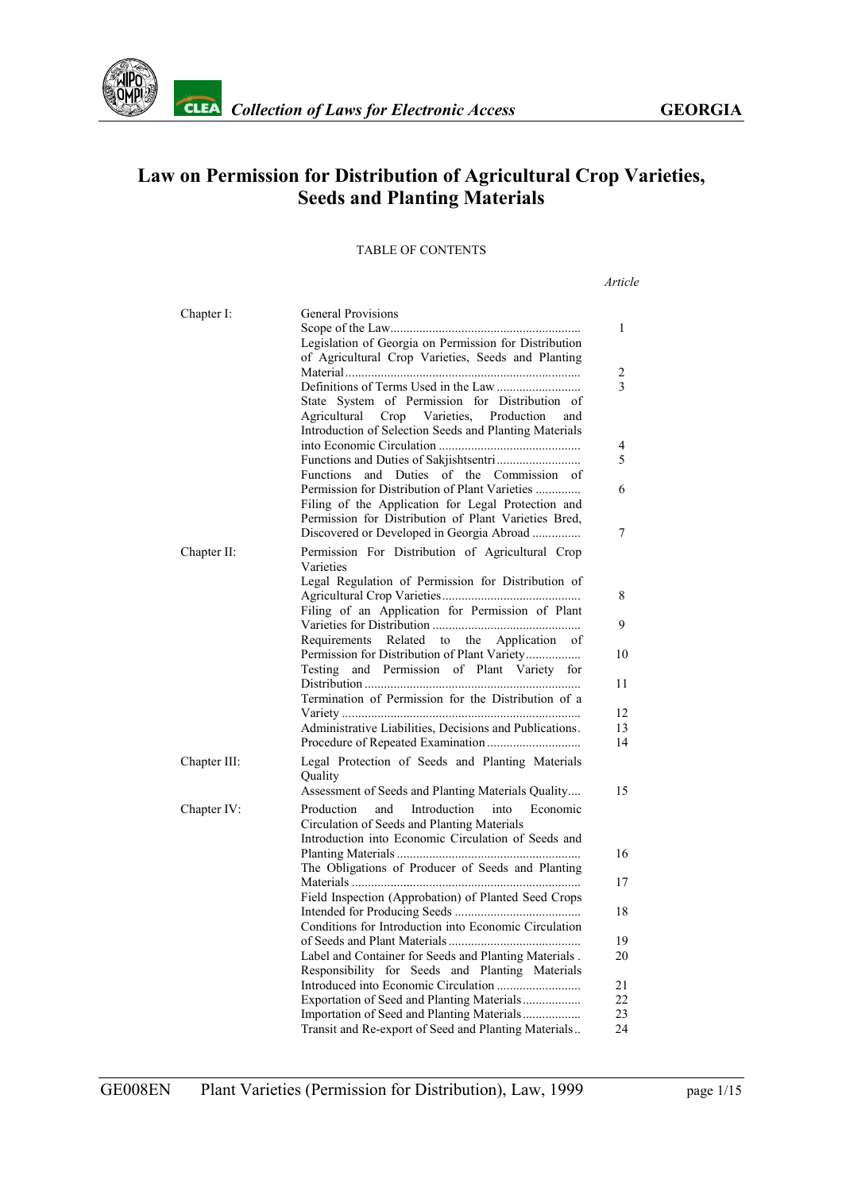

# **Law on Permission for Distribution of Agricultural Crop Varieties, Seeds and Planting Materials**

#### TABLE OF CONTENTS

*Article*

| Chapter I:   | <b>General Provisions</b><br>Legislation of Georgia on Permission for Distribution<br>of Agricultural Crop Varieties, Seeds and Planting                                                                                                                                                                                                                                                                                       |
|--------------|--------------------------------------------------------------------------------------------------------------------------------------------------------------------------------------------------------------------------------------------------------------------------------------------------------------------------------------------------------------------------------------------------------------------------------|
|              | State System of Permission for Distribution of<br>Agricultural Crop Varieties, Production<br>and<br>Introduction of Selection Seeds and Planting Materials<br><b>Functions</b><br>and Duties of the Commission of<br>Permission for Distribution of Plant Varieties<br>Filing of the Application for Legal Protection and<br>Permission for Distribution of Plant Varieties Bred,<br>Discovered or Developed in Georgia Abroad |
| Chapter II:  | Permission For Distribution of Agricultural Crop<br>Varieties<br>Legal Regulation of Permission for Distribution of<br>Filing of an Application for Permission of Plant                                                                                                                                                                                                                                                        |
|              | Related to the Application of<br>Requirements<br>Testing<br>and Permission of Plant Variety for<br>Termination of Permission for the Distribution of a                                                                                                                                                                                                                                                                         |
|              | Administrative Liabilities, Decisions and Publications.                                                                                                                                                                                                                                                                                                                                                                        |
| Chapter III: | Legal Protection of Seeds and Planting Materials<br>Quality<br>Assessment of Seeds and Planting Materials Quality                                                                                                                                                                                                                                                                                                              |
| Chapter IV:  | Introduction<br>Production<br>and<br>into<br>Economic<br>Circulation of Seeds and Planting Materials<br>Introduction into Economic Circulation of Seeds and<br>The Obligations of Producer of Seeds and Planting                                                                                                                                                                                                               |
|              | Field Inspection (Approbation) of Planted Seed Crops                                                                                                                                                                                                                                                                                                                                                                           |
|              | Conditions for Introduction into Economic Circulation                                                                                                                                                                                                                                                                                                                                                                          |
|              | Label and Container for Seeds and Planting Materials.                                                                                                                                                                                                                                                                                                                                                                          |
|              | Responsibility for Seeds and Planting Materials                                                                                                                                                                                                                                                                                                                                                                                |
|              |                                                                                                                                                                                                                                                                                                                                                                                                                                |
|              | Exportation of Seed and Planting Materials                                                                                                                                                                                                                                                                                                                                                                                     |
|              |                                                                                                                                                                                                                                                                                                                                                                                                                                |
|              | Transit and Re-export of Seed and Planting Materials                                                                                                                                                                                                                                                                                                                                                                           |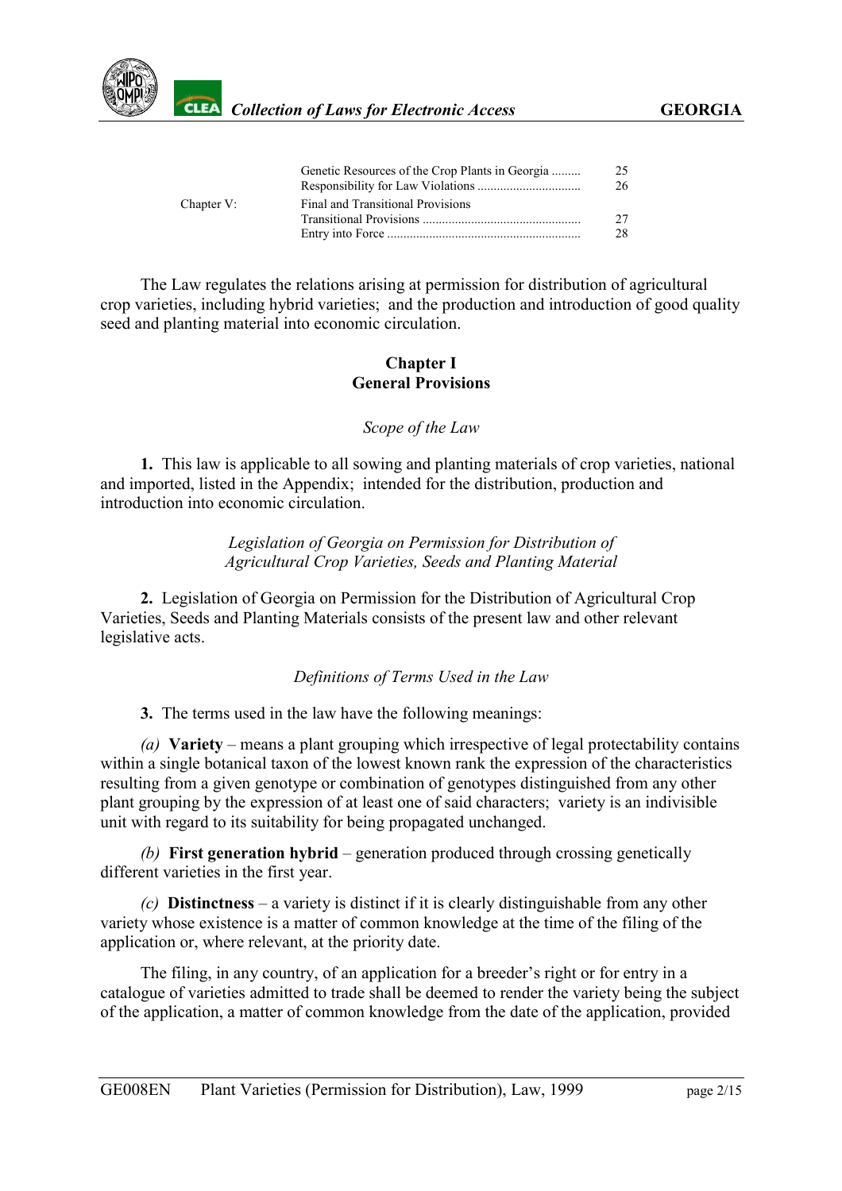

|            | Genetic Resources of the Crop Plants in Georgia | 25 |
|------------|-------------------------------------------------|----|
|            |                                                 | 26 |
| Chapter V: | Final and Transitional Provisions               |    |
|            |                                                 | 27 |
|            |                                                 | 28 |
|            |                                                 |    |

The Law regulates the relations arising at permission for distribution of agricultural crop varieties, including hybrid varieties; and the production and introduction of good quality seed and planting material into economic circulation.

### **Chapter I General Provisions**

#### *Scope of the Law*

<span id="page-1-0"></span>**1.** This law is applicable to all sowing and planting materials of crop varieties, national and imported, listed in the Appendix; intended for the distribution, production and introduction into economic circulation.

> *Legislation of Georgia on Permission for Distribution of Agricultural Crop Varieties, Seeds and Planting Material*

<span id="page-1-1"></span>**2.** Legislation of Georgia on Permission for the Distribution of Agricultural Crop Varieties, Seeds and Planting Materials consists of the present law and other relevant legislative acts.

#### *Definitions of Terms Used in the Law*

<span id="page-1-2"></span>**3.** The terms used in the law have the following meanings:

*(a)* **Variety** – means a plant grouping which irrespective of legal protectability contains within a single botanical taxon of the lowest known rank the expression of the characteristics resulting from a given genotype or combination of genotypes distinguished from any other plant grouping by the expression of at least one of said characters; variety is an indivisible unit with regard to its suitability for being propagated unchanged.

*(b)* **First generation hybrid** – generation produced through crossing genetically different varieties in the first year.

*(c)* **Distinctness** – a variety is distinct if it is clearly distinguishable from any other variety whose existence is a matter of common knowledge at the time of the filing of the application or, where relevant, at the priority date.

The filing, in any country, of an application for a breeder's right or for entry in a catalogue of varieties admitted to trade shall be deemed to render the variety being the subject of the application, a matter of common knowledge from the date of the application, provided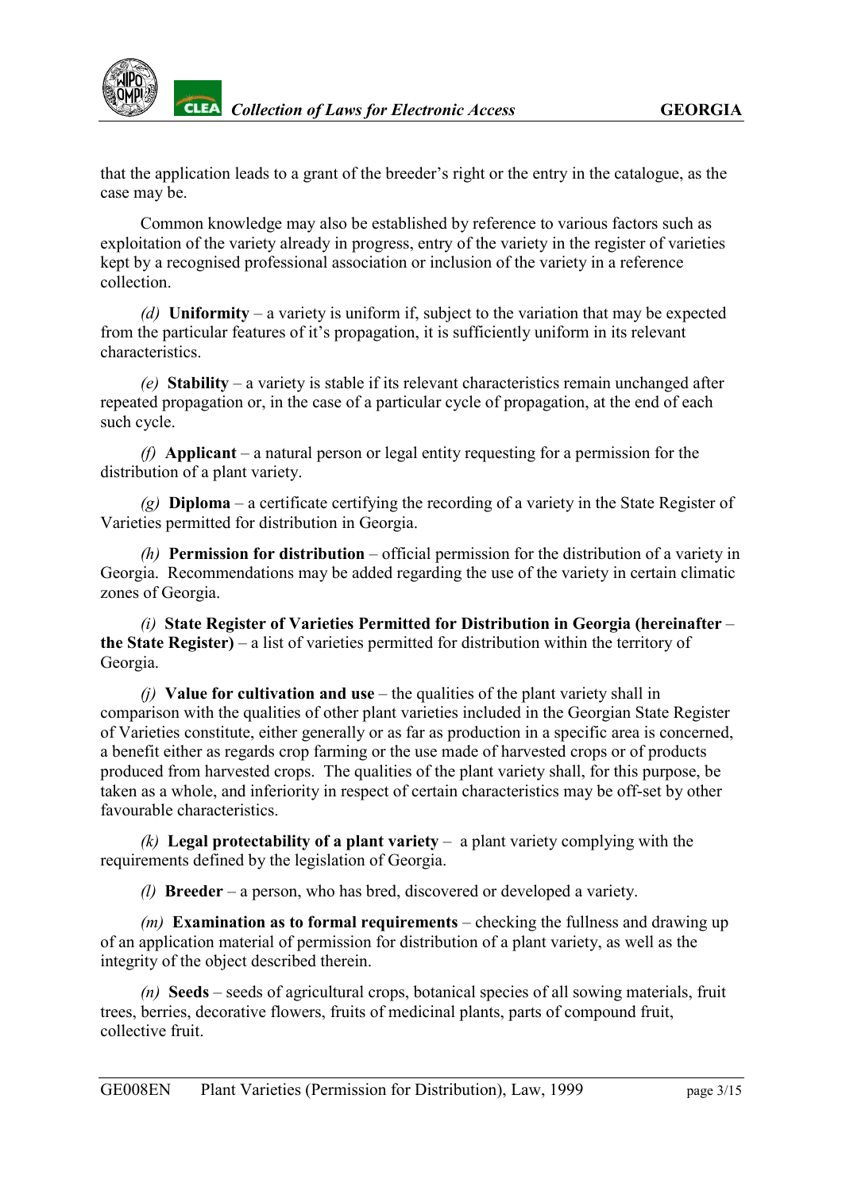

that the application leads to a grant of the breeder's right or the entry in the catalogue, as the case may be.

Common knowledge may also be established by reference to various factors such as exploitation of the variety already in progress, entry of the variety in the register of varieties kept by a recognised professional association or inclusion of the variety in a reference collection.

*(d)* **Uniformity** – a variety is uniform if, subject to the variation that may be expected from the particular features of it's propagation, it is sufficiently uniform in its relevant characteristics.

*(e)* **Stability** – a variety is stable if its relevant characteristics remain unchanged after repeated propagation or, in the case of a particular cycle of propagation, at the end of each such cycle.

*(f)* **Applicant** – a natural person or legal entity requesting for a permission for the distribution of a plant variety.

*(g)* **Diploma** – a certificate certifying the recording of a variety in the State Register of Varieties permitted for distribution in Georgia.

*(h)* **Permission for distribution** – official permission for the distribution of a variety in Georgia. Recommendations may be added regarding the use of the variety in certain climatic zones of Georgia.

*(i)* **State Register of Varieties Permitted for Distribution in Georgia (hereinafter** – **the State Register)** – a list of varieties permitted for distribution within the territory of Georgia.

*(j)* **Value for cultivation and use** – the qualities of the plant variety shall in comparison with the qualities of other plant varieties included in the Georgian State Register of Varieties constitute, either generally or as far as production in a specific area is concerned, a benefit either as regards crop farming or the use made of harvested crops or of products produced from harvested crops. The qualities of the plant variety shall, for this purpose, be taken as a whole, and inferiority in respect of certain characteristics may be off-set by other favourable characteristics.

*(k)* **Legal protectability of a plant variety** – a plant variety complying with the requirements defined by the legislation of Georgia.

*(l)* **Breeder** – a person, who has bred, discovered or developed a variety.

*(m)* **Examination as to formal requirements** – checking the fullness and drawing up of an application material of permission for distribution of a plant variety, as well as the integrity of the object described therein.

*(n)* **Seeds** – seeds of agricultural crops, botanical species of all sowing materials, fruit trees, berries, decorative flowers, fruits of medicinal plants, parts of compound fruit, collective fruit.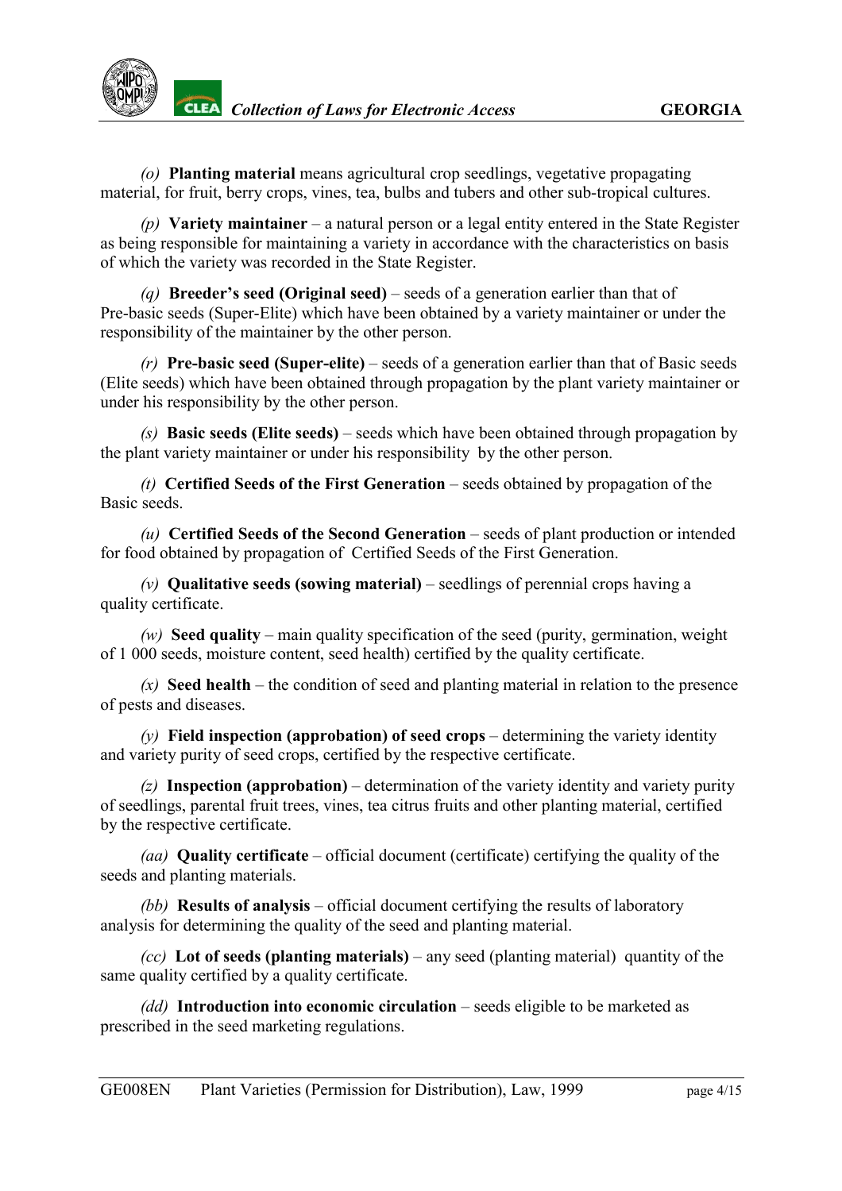*(o)* **Planting material** means agricultural crop seedlings, vegetative propagating material, for fruit, berry crops, vines, tea, bulbs and tubers and other sub-tropical cultures.

*(p)* **Variety maintainer** – a natural person or a legal entity entered in the State Register as being responsible for maintaining a variety in accordance with the characteristics on basis of which the variety was recorded in the State Register.

*(q)* **Breeder's seed (Original seed)** – seeds of a generation earlier than that of Pre-basic seeds (Super-Elite) which have been obtained by a variety maintainer or under the responsibility of the maintainer by the other person.

*(r)* **Pre-basic seed (Super-elite)** – seeds of a generation earlier than that of Basic seeds (Elite seeds) which have been obtained through propagation by the plant variety maintainer or under his responsibility by the other person.

*(s)* **Basic seeds (Elite seeds)** – seeds which have been obtained through propagation by the plant variety maintainer or under his responsibility by the other person.

*(t)* **Certified Seeds of the First Generation** – seeds obtained by propagation of the Basic seeds.

*(u)* **Certified Seeds of the Second Generation** – seeds of plant production or intended for food obtained by propagation of Certified Seeds of the First Generation.

*(v)* **Qualitative seeds (sowing material)** – seedlings of perennial crops having a quality certificate.

*(w)* **Seed quality** – main quality specification of the seed (purity, germination, weight of 1 000 seeds, moisture content, seed health) certified by the quality certificate.

 $(x)$  **Seed health** – the condition of seed and planting material in relation to the presence of pests and diseases.

*(y)* **Field inspection (approbation) of seed crops** – determining the variety identity and variety purity of seed crops, certified by the respective certificate.

*(z)* **Inspection (approbation)** – determination of the variety identity and variety purity of seedlings, parental fruit trees, vines, tea citrus fruits and other planting material, certified by the respective certificate.

*(aa)* **Quality certificate** – official document (certificate) certifying the quality of the seeds and planting materials.

*(bb)* **Results of analysis** – official document certifying the results of laboratory analysis for determining the quality of the seed and planting material.

*(cc)* **Lot of seeds (planting materials)** – any seed (planting material) quantity of the same quality certified by a quality certificate.

*(dd)* **Introduction into economic circulation** – seeds eligible to be marketed as prescribed in the seed marketing regulations.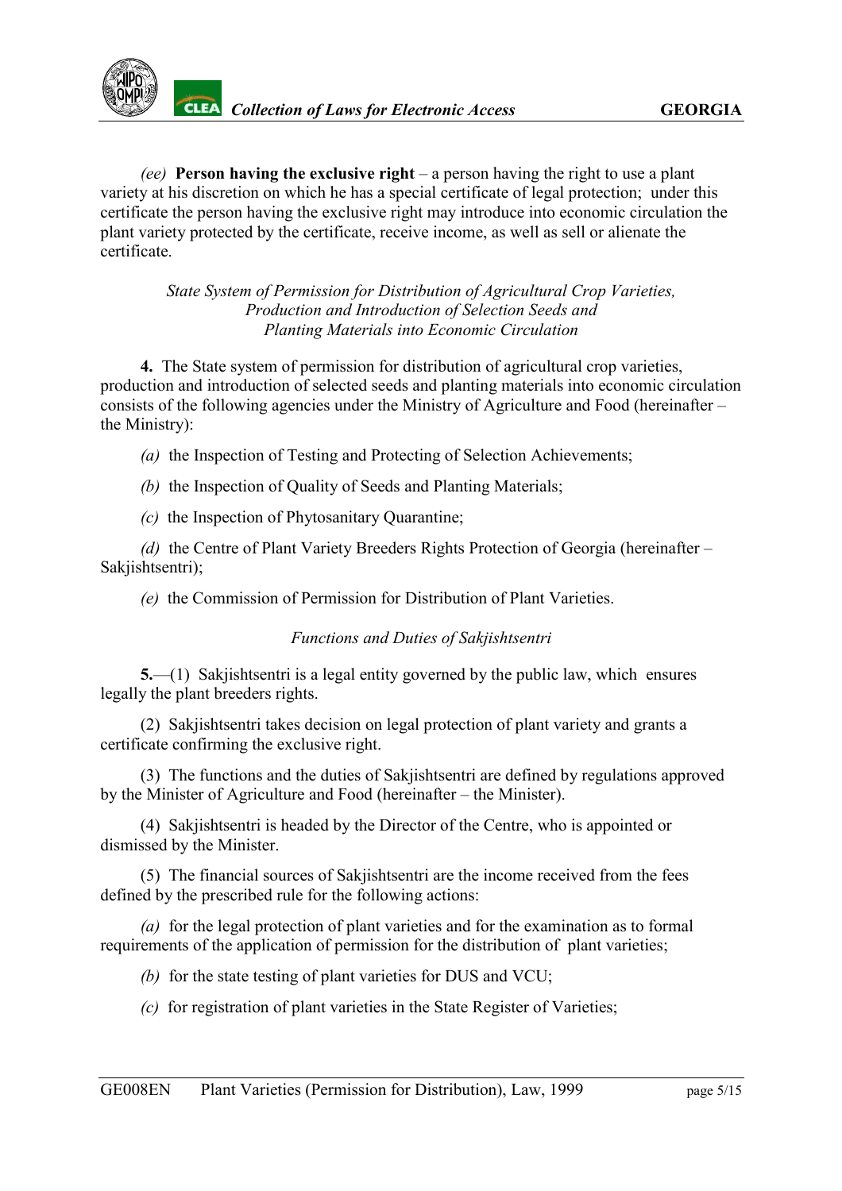

*(ee)* **Person having the exclusive right** – a person having the right to use a plant variety at his discretion on which he has a special certificate of legal protection; under this certificate the person having the exclusive right may introduce into economic circulation the plant variety protected by the certificate, receive income, as well as sell or alienate the certificate.

> *State System of Permission for Distribution of Agricultural Crop Varieties, Production and Introduction of Selection Seeds and Planting Materials into Economic Circulation*

<span id="page-4-0"></span>**4.** The State system of permission for distribution of agricultural crop varieties, production and introduction of selected seeds and planting materials into economic circulation consists of the following agencies under the Ministry of Agriculture and Food (hereinafter – the Ministry):

- *(a)* the Inspection of Testing and Protecting of Selection Achievements;
- *(b)* the Inspection of Quality of Seeds and Planting Materials;
- *(c)* the Inspection of Phytosanitary Quarantine;

*(d)* the Centre of Plant Variety Breeders Rights Protection of Georgia (hereinafter – Sakiishtsentri);

*(e)* the Commission of Permission for Distribution of Plant Varieties.

## *Functions and Duties of Sakjishtsentri*

<span id="page-4-1"></span>**5.**—(1) Sakjishtsentri is a legal entity governed by the public law, which ensures legally the plant breeders rights.

(2) Sakjishtsentri takes decision on legal protection of plant variety and grants a certificate confirming the exclusive right.

(3) The functions and the duties of Sakjishtsentri are defined by regulations approved by the Minister of Agriculture and Food (hereinafter – the Minister).

(4) Sakjishtsentri is headed by the Director of the Centre, who is appointed or dismissed by the Minister.

(5) The financial sources of Sakjishtsentri are the income received from the fees defined by the prescribed rule for the following actions:

*(a)* for the legal protection of plant varieties and for the examination as to formal requirements of the application of permission for the distribution of plant varieties;

*(b)* for the state testing of plant varieties for DUS and VCU;

*(c)* for registration of plant varieties in the State Register of Varieties;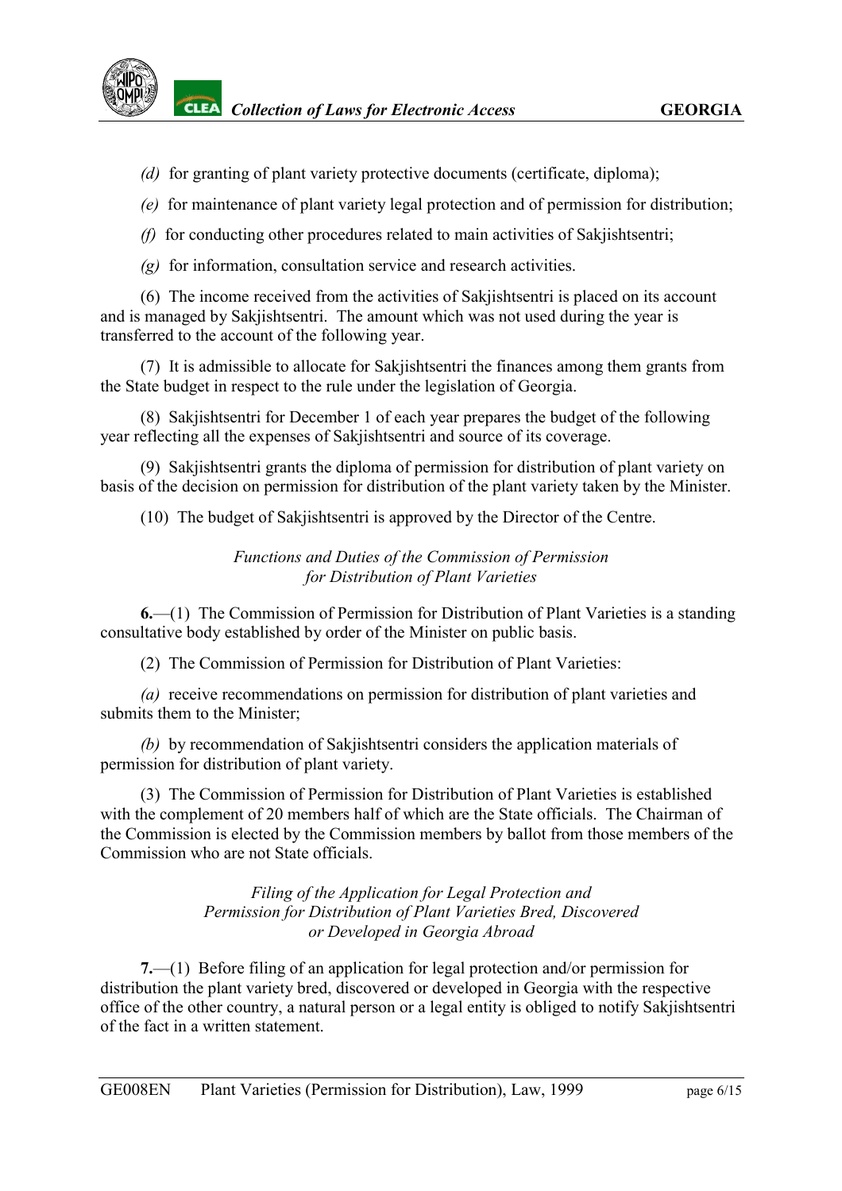

- *(d)* for granting of plant variety protective documents (certificate, diploma);
- *(e)* for maintenance of plant variety legal protection and of permission for distribution;
- *(f)* for conducting other procedures related to main activities of Sakjishtsentri;
- *(g)* for information, consultation service and research activities.

(6) The income received from the activities of Sakjishtsentri is placed on its account and is managed by Sakjishtsentri. The amount which was not used during the year is transferred to the account of the following year.

(7) It is admissible to allocate for Sakjishtsentri the finances among them grants from the State budget in respect to the rule under the legislation of Georgia.

(8) Sakjishtsentri for December 1 of each year prepares the budget of the following year reflecting all the expenses of Sakjishtsentri and source of its coverage.

(9) Sakjishtsentri grants the diploma of permission for distribution of plant variety on basis of the decision on permission for distribution of the plant variety taken by the Minister.

(10) The budget of Sakjishtsentri is approved by the Director of the Centre.

### *Functions and Duties of the Commission of Permission for Distribution of Plant Varieties*

<span id="page-5-0"></span>**6.**—(1) The Commission of Permission for Distribution of Plant Varieties is a standing consultative body established by order of the Minister on public basis.

(2) The Commission of Permission for Distribution of Plant Varieties:

*(a)* receive recommendations on permission for distribution of plant varieties and submits them to the Minister;

*(b)* by recommendation of Sakjishtsentri considers the application materials of permission for distribution of plant variety.

(3) The Commission of Permission for Distribution of Plant Varieties is established with the complement of 20 members half of which are the State officials. The Chairman of the Commission is elected by the Commission members by ballot from those members of the Commission who are not State officials.

> *Filing of the Application for Legal Protection and Permission for Distribution of Plant Varieties Bred, Discovered or Developed in Georgia Abroad*

<span id="page-5-1"></span>**7.**—(1) Before filing of an application for legal protection and/or permission for distribution the plant variety bred, discovered or developed in Georgia with the respective office of the other country, a natural person or a legal entity is obliged to notify Sakjishtsentri of the fact in a written statement.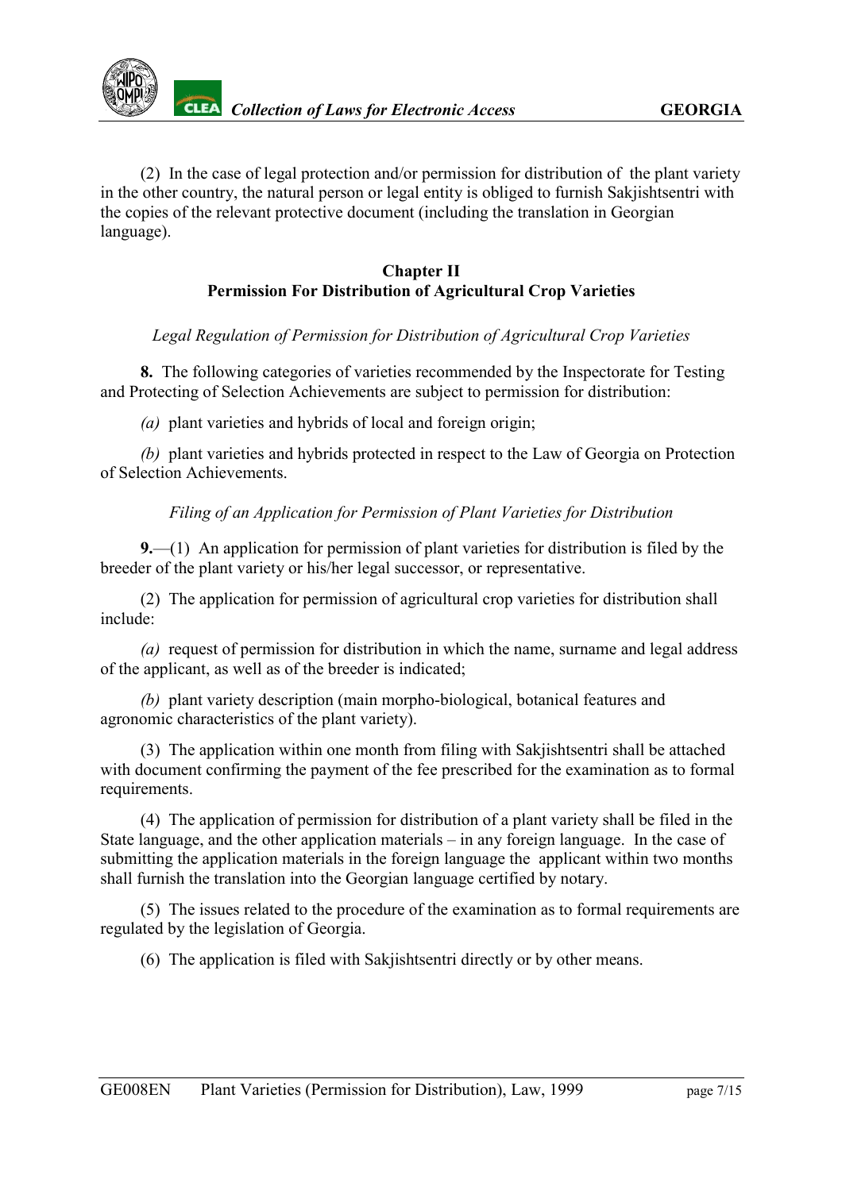

(2) In the case of legal protection and/or permission for distribution of the plant variety in the other country, the natural person or legal entity is obliged to furnish Sakjishtsentri with the copies of the relevant protective document (including the translation in Georgian language).

### **Chapter II Permission For Distribution of Agricultural Crop Varieties**

#### <span id="page-6-0"></span>*Legal Regulation of Permission for Distribution of Agricultural Crop Varieties*

**8.** The following categories of varieties recommended by the Inspectorate for Testing and Protecting of Selection Achievements are subject to permission for distribution:

*(a)* plant varieties and hybrids of local and foreign origin;

*(b)* plant varieties and hybrids protected in respect to the Law of Georgia on Protection of Selection Achievements.

### *Filing of an Application for Permission of Plant Varieties for Distribution*

<span id="page-6-1"></span>**9.**—(1) An application for permission of plant varieties for distribution is filed by the breeder of the plant variety or his/her legal successor, or representative.

(2) The application for permission of agricultural crop varieties for distribution shall include:

*(a)* request of permission for distribution in which the name, surname and legal address of the applicant, as well as of the breeder is indicated;

*(b)* plant variety description (main morpho-biological, botanical features and agronomic characteristics of the plant variety).

(3) The application within one month from filing with Sakjishtsentri shall be attached with document confirming the payment of the fee prescribed for the examination as to formal requirements.

(4) The application of permission for distribution of a plant variety shall be filed in the State language, and the other application materials – in any foreign language. In the case of submitting the application materials in the foreign language the applicant within two months shall furnish the translation into the Georgian language certified by notary.

(5) The issues related to the procedure of the examination as to formal requirements are regulated by the legislation of Georgia.

(6) The application is filed with Sakjishtsentri directly or by other means.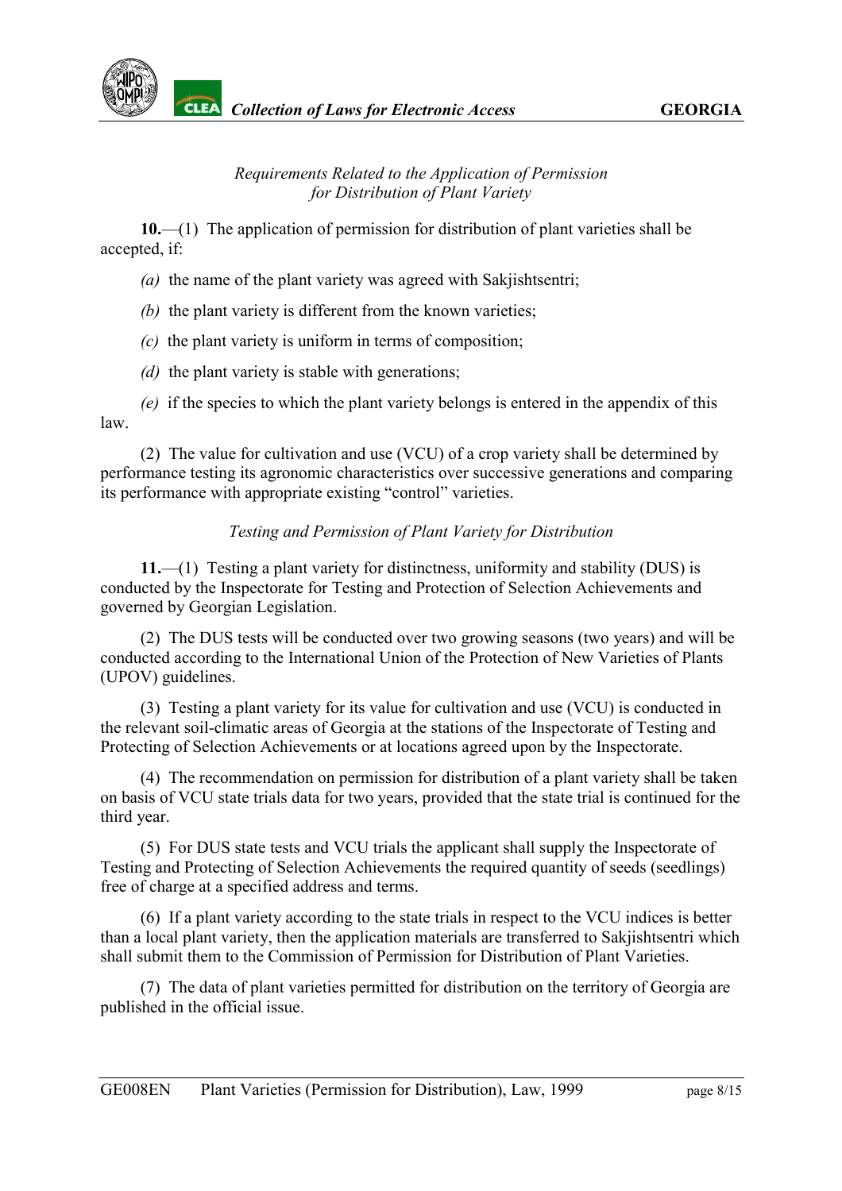### *Requirements Related to the Application of Permission for Distribution of Plant Variety*

<span id="page-7-0"></span>**10.**—(1) The application of permission for distribution of plant varieties shall be accepted, if:

*(a)* the name of the plant variety was agreed with Sakjishtsentri;

*(b)* the plant variety is different from the known varieties;

*(c)* the plant variety is uniform in terms of composition;

*(d)* the plant variety is stable with generations;

*(e)* if the species to which the plant variety belongs is entered in the appendix of this law.

(2) The value for cultivation and use (VCU) of a crop variety shall be determined by performance testing its agronomic characteristics over successive generations and comparing its performance with appropriate existing "control" varieties.

## *Testing and Permission of Plant Variety for Distribution*

<span id="page-7-1"></span>**11.**—(1) Testing a plant variety for distinctness, uniformity and stability (DUS) is conducted by the Inspectorate for Testing and Protection of Selection Achievements and governed by Georgian Legislation.

(2) The DUS tests will be conducted over two growing seasons (two years) and will be conducted according to the International Union of the Protection of New Varieties of Plants (UPOV) guidelines.

(3) Testing a plant variety for its value for cultivation and use (VCU) is conducted in the relevant soil-climatic areas of Georgia at the stations of the Inspectorate of Testing and Protecting of Selection Achievements or at locations agreed upon by the Inspectorate.

(4) The recommendation on permission for distribution of a plant variety shall be taken on basis of VCU state trials data for two years, provided that the state trial is continued for the third year.

(5) For DUS state tests and VCU trials the applicant shall supply the Inspectorate of Testing and Protecting of Selection Achievements the required quantity of seeds (seedlings) free of charge at a specified address and terms.

(6) If a plant variety according to the state trials in respect to the VCU indices is better than a local plant variety, then the application materials are transferred to Sakjishtsentri which shall submit them to the Commission of Permission for Distribution of Plant Varieties.

(7) The data of plant varieties permitted for distribution on the territory of Georgia are published in the official issue.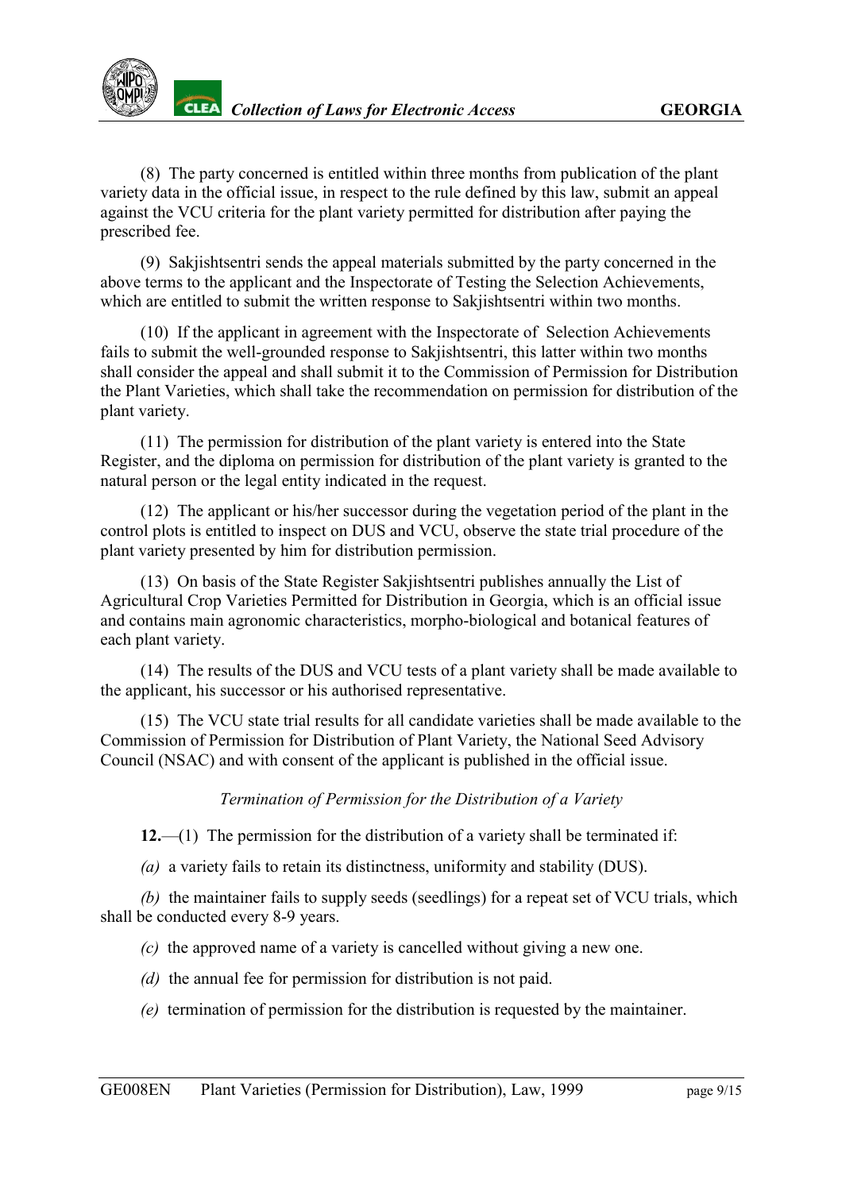(8) The party concerned is entitled within three months from publication of the plant variety data in the official issue, in respect to the rule defined by this law, submit an appeal against the VCU criteria for the plant variety permitted for distribution after paying the prescribed fee.

(9) Sakjishtsentri sends the appeal materials submitted by the party concerned in the above terms to the applicant and the Inspectorate of Testing the Selection Achievements, which are entitled to submit the written response to Sakjishtsentri within two months.

(10) If the applicant in agreement with the Inspectorate of Selection Achievements fails to submit the well-grounded response to Sakjishtsentri, this latter within two months shall consider the appeal and shall submit it to the Commission of Permission for Distribution the Plant Varieties, which shall take the recommendation on permission for distribution of the plant variety.

(11) The permission for distribution of the plant variety is entered into the State Register, and the diploma on permission for distribution of the plant variety is granted to the natural person or the legal entity indicated in the request.

(12) The applicant or his/her successor during the vegetation period of the plant in the control plots is entitled to inspect on DUS and VCU, observe the state trial procedure of the plant variety presented by him for distribution permission.

(13) On basis of the State Register Sakjishtsentri publishes annually the List of Agricultural Crop Varieties Permitted for Distribution in Georgia, which is an official issue and contains main agronomic characteristics, morpho-biological and botanical features of each plant variety.

(14) The results of the DUS and VCU tests of a plant variety shall be made available to the applicant, his successor or his authorised representative.

(15) The VCU state trial results for all candidate varieties shall be made available to the Commission of Permission for Distribution of Plant Variety, the National Seed Advisory Council (NSAC) and with consent of the applicant is published in the official issue.

#### *Termination of Permission for the Distribution of a Variety*

<span id="page-8-0"></span>**12.**—(1) The permission for the distribution of a variety shall be terminated if:

*(a)* a variety fails to retain its distinctness, uniformity and stability (DUS).

*(b)* the maintainer fails to supply seeds (seedlings) for a repeat set of VCU trials, which shall be conducted every 8-9 years.

*(c)* the approved name of a variety is cancelled without giving a new one.

- *(d)* the annual fee for permission for distribution is not paid.
- *(e)* termination of permission for the distribution is requested by the maintainer.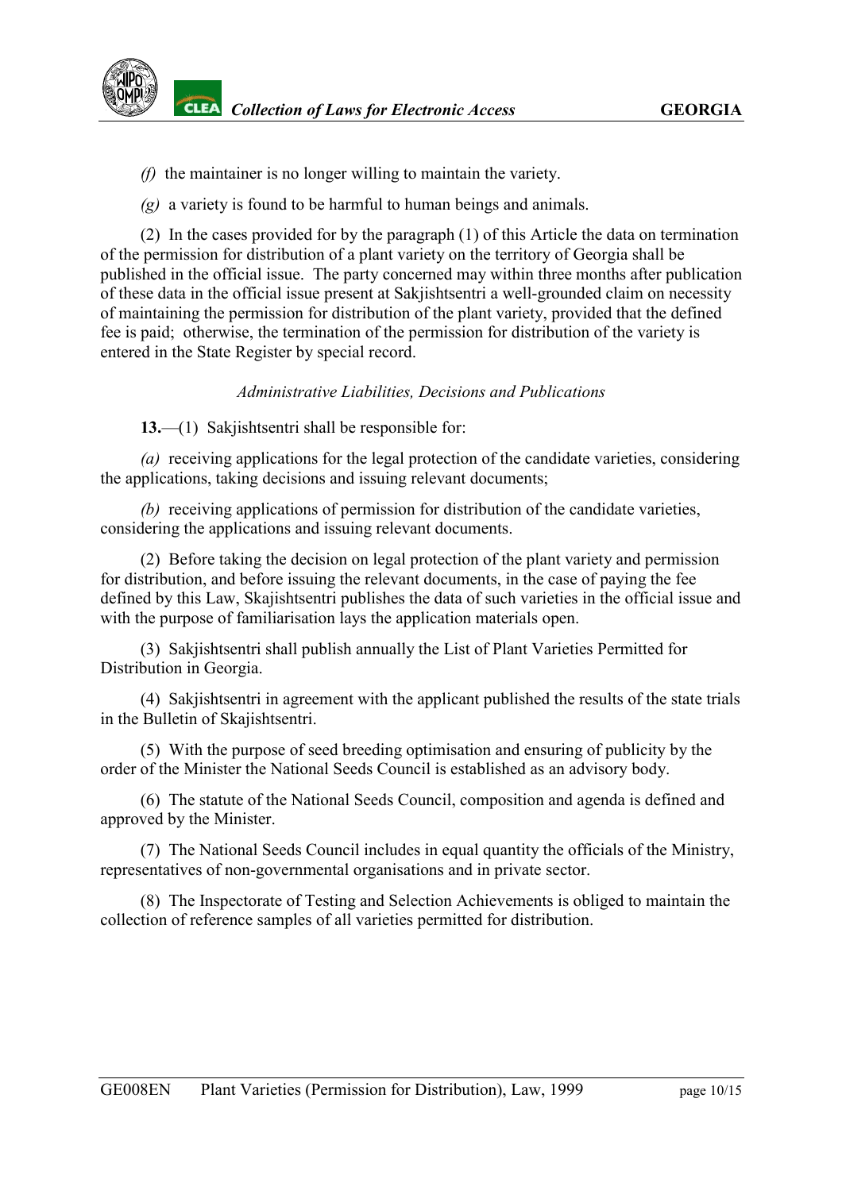- *(f)* the maintainer is no longer willing to maintain the variety.
- *(g)* a variety is found to be harmful to human beings and animals.

(2) In the cases provided for by the paragraph (1) of this Article the data on termination of the permission for distribution of a plant variety on the territory of Georgia shall be published in the official issue. The party concerned may within three months after publication of these data in the official issue present at Sakjishtsentri a well-grounded claim on necessity of maintaining the permission for distribution of the plant variety, provided that the defined fee is paid; otherwise, the termination of the permission for distribution of the variety is entered in the State Register by special record.

#### *Administrative Liabilities, Decisions and Publications*

<span id="page-9-0"></span>**13.**—(1) Sakjishtsentri shall be responsible for:

*(a)* receiving applications for the legal protection of the candidate varieties, considering the applications, taking decisions and issuing relevant documents;

*(b)* receiving applications of permission for distribution of the candidate varieties, considering the applications and issuing relevant documents.

(2) Before taking the decision on legal protection of the plant variety and permission for distribution, and before issuing the relevant documents, in the case of paying the fee defined by this Law, Skajishtsentri publishes the data of such varieties in the official issue and with the purpose of familiarisation lays the application materials open.

(3) Sakjishtsentri shall publish annually the List of Plant Varieties Permitted for Distribution in Georgia.

(4) Sakjishtsentri in agreement with the applicant published the results of the state trials in the Bulletin of Skajishtsentri.

(5) With the purpose of seed breeding optimisation and ensuring of publicity by the order of the Minister the National Seeds Council is established as an advisory body.

(6) The statute of the National Seeds Council, composition and agenda is defined and approved by the Minister.

(7) The National Seeds Council includes in equal quantity the officials of the Ministry, representatives of non-governmental organisations and in private sector.

(8) The Inspectorate of Testing and Selection Achievements is obliged to maintain the collection of reference samples of all varieties permitted for distribution.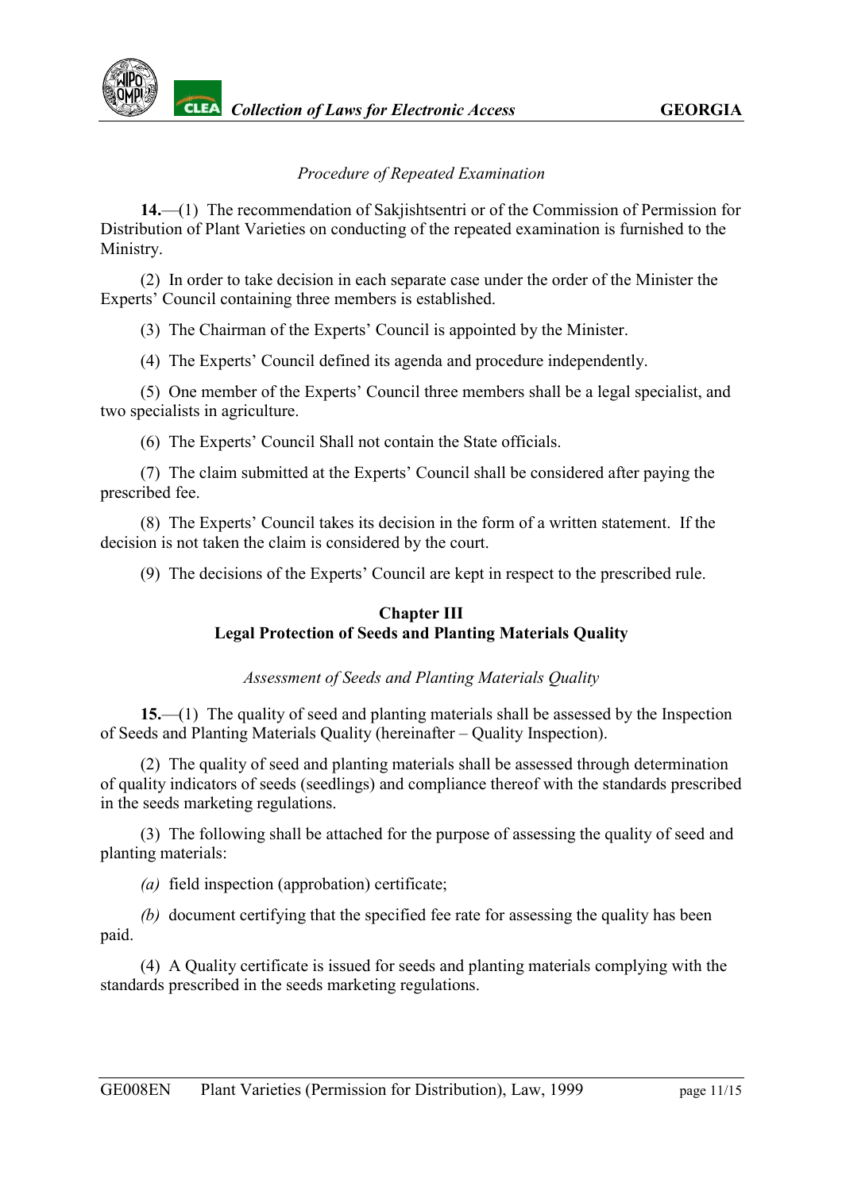### *Procedure of Repeated Examination*

<span id="page-10-0"></span>**14.**—(1) The recommendation of Sakjishtsentri or of the Commission of Permission for Distribution of Plant Varieties on conducting of the repeated examination is furnished to the Ministry.

(2) In order to take decision in each separate case under the order of the Minister the Experts' Council containing three members is established.

(3) The Chairman of the Experts' Council is appointed by the Minister.

(4) The Experts' Council defined its agenda and procedure independently.

(5) One member of the Experts' Council three members shall be a legal specialist, and two specialists in agriculture.

(6) The Experts' Council Shall not contain the State officials.

(7) The claim submitted at the Experts' Council shall be considered after paying the prescribed fee.

(8) The Experts' Council takes its decision in the form of a written statement. If the decision is not taken the claim is considered by the court.

(9) The decisions of the Experts' Council are kept in respect to the prescribed rule.

#### **Chapter III Legal Protection of Seeds and Planting Materials Quality**

*Assessment of Seeds and Planting Materials Quality*

<span id="page-10-1"></span>**15.**—(1) The quality of seed and planting materials shall be assessed by the Inspection of Seeds and Planting Materials Quality (hereinafter – Quality Inspection).

(2) The quality of seed and planting materials shall be assessed through determination of quality indicators of seeds (seedlings) and compliance thereof with the standards prescribed in the seeds marketing regulations.

(3) The following shall be attached for the purpose of assessing the quality of seed and planting materials:

*(a)* field inspection (approbation) certificate;

*(b)* document certifying that the specified fee rate for assessing the quality has been paid.

(4) A Quality certificate is issued for seeds and planting materials complying with the standards prescribed in the seeds marketing regulations.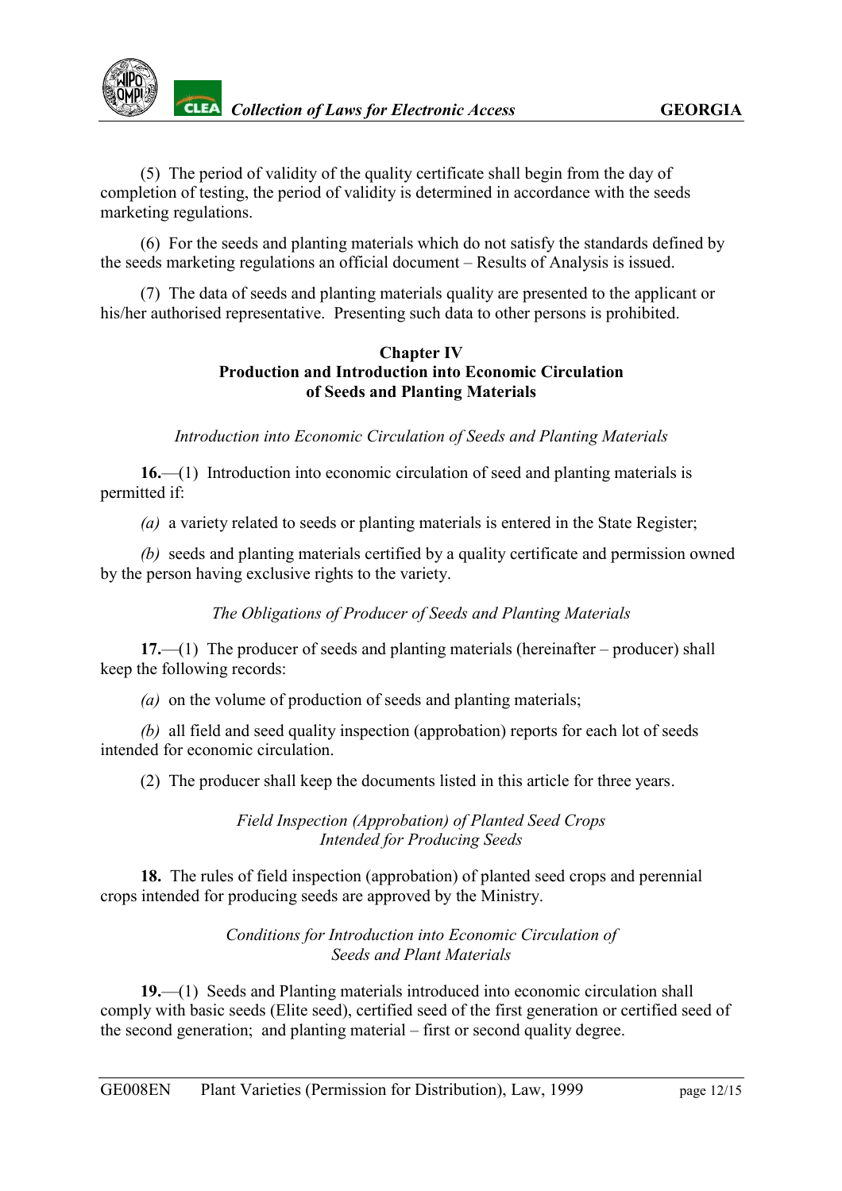(5) The period of validity of the quality certificate shall begin from the day of completion of testing, the period of validity is determined in accordance with the seeds marketing regulations.

(6) For the seeds and planting materials which do not satisfy the standards defined by the seeds marketing regulations an official document – Results of Analysis is issued.

(7) The data of seeds and planting materials quality are presented to the applicant or his/her authorised representative. Presenting such data to other persons is prohibited.

### **Chapter IV Production and Introduction into Economic Circulation of Seeds and Planting Materials**

*Introduction into Economic Circulation of Seeds and Planting Materials*

<span id="page-11-0"></span>**16.**—(1) Introduction into economic circulation of seed and planting materials is permitted if:

*(a)* a variety related to seeds or planting materials is entered in the State Register;

*(b)* seeds and planting materials certified by a quality certificate and permission owned by the person having exclusive rights to the variety.

*The Obligations of Producer of Seeds and Planting Materials*

<span id="page-11-1"></span>**17.**—(1) The producer of seeds and planting materials (hereinafter – producer) shall keep the following records:

*(a)* on the volume of production of seeds and planting materials;

*(b)* all field and seed quality inspection (approbation) reports for each lot of seeds intended for economic circulation.

(2) The producer shall keep the documents listed in this article for three years.

*Field Inspection (Approbation) of Planted Seed Crops Intended for Producing Seeds*

<span id="page-11-2"></span>**18.** The rules of field inspection (approbation) of planted seed crops and perennial crops intended for producing seeds are approved by the Ministry.

> *Conditions for Introduction into Economic Circulation of Seeds and Plant Materials*

<span id="page-11-3"></span>**19.**—(1) Seeds and Planting materials introduced into economic circulation shall comply with basic seeds (Elite seed), certified seed of the first generation or certified seed of the second generation; and planting material – first or second quality degree.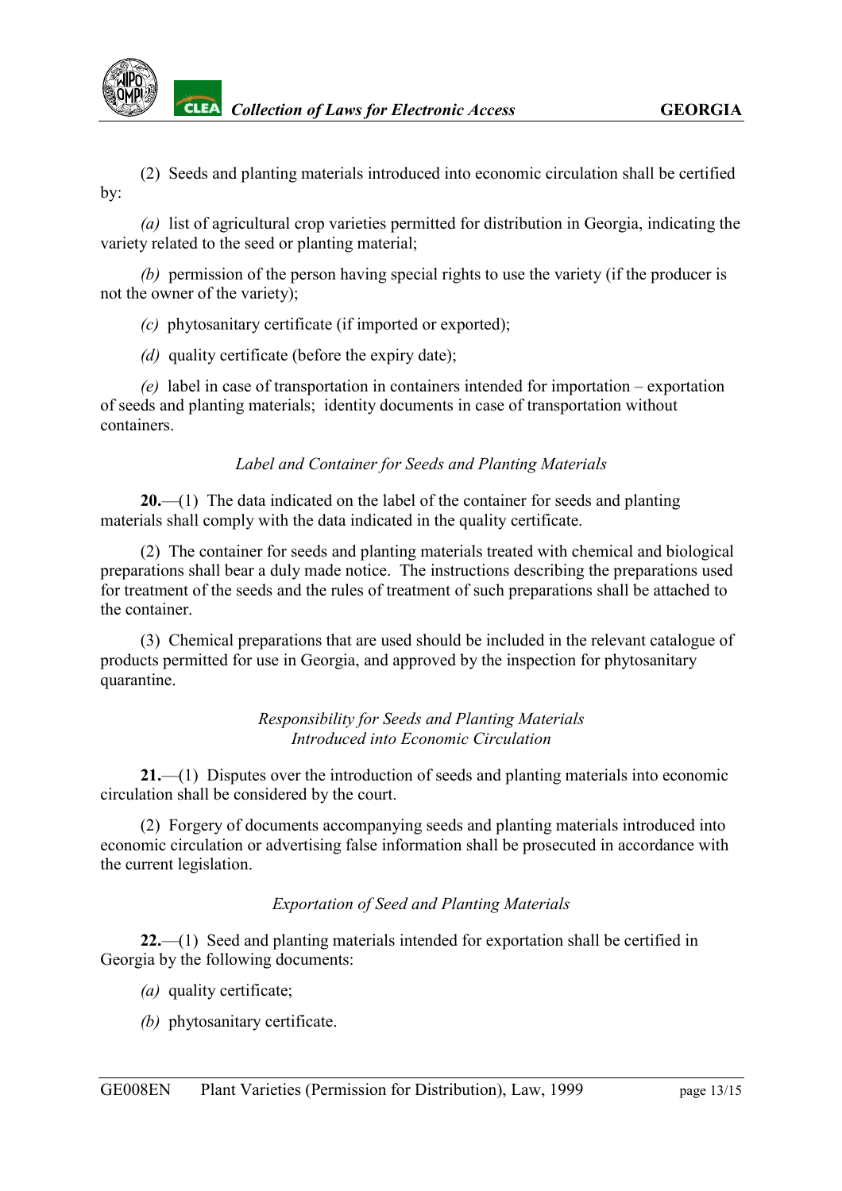

(2) Seeds and planting materials introduced into economic circulation shall be certified by:

*(a)* list of agricultural crop varieties permitted for distribution in Georgia, indicating the variety related to the seed or planting material;

*(b)* permission of the person having special rights to use the variety (if the producer is not the owner of the variety);

*(c)* phytosanitary certificate (if imported or exported);

*(d)* quality certificate (before the expiry date);

*(e)* label in case of transportation in containers intended for importation – exportation of seeds and planting materials; identity documents in case of transportation without containers.

## *Label and Container for Seeds and Planting Materials*

<span id="page-12-0"></span>**20.**—(1) The data indicated on the label of the container for seeds and planting materials shall comply with the data indicated in the quality certificate.

(2) The container for seeds and planting materials treated with chemical and biological preparations shall bear a duly made notice. The instructions describing the preparations used for treatment of the seeds and the rules of treatment of such preparations shall be attached to the container.

(3) Chemical preparations that are used should be included in the relevant catalogue of products permitted for use in Georgia, and approved by the inspection for phytosanitary quarantine.

#### *Responsibility for Seeds and Planting Materials Introduced into Economic Circulation*

<span id="page-12-1"></span>**21.**—(1) Disputes over the introduction of seeds and planting materials into economic circulation shall be considered by the court.

(2) Forgery of documents accompanying seeds and planting materials introduced into economic circulation or advertising false information shall be prosecuted in accordance with the current legislation.

## *Exportation of Seed and Planting Materials*

<span id="page-12-2"></span>**22.**—(1) Seed and planting materials intended for exportation shall be certified in Georgia by the following documents:

- *(a)* quality certificate;
- *(b)* phytosanitary certificate.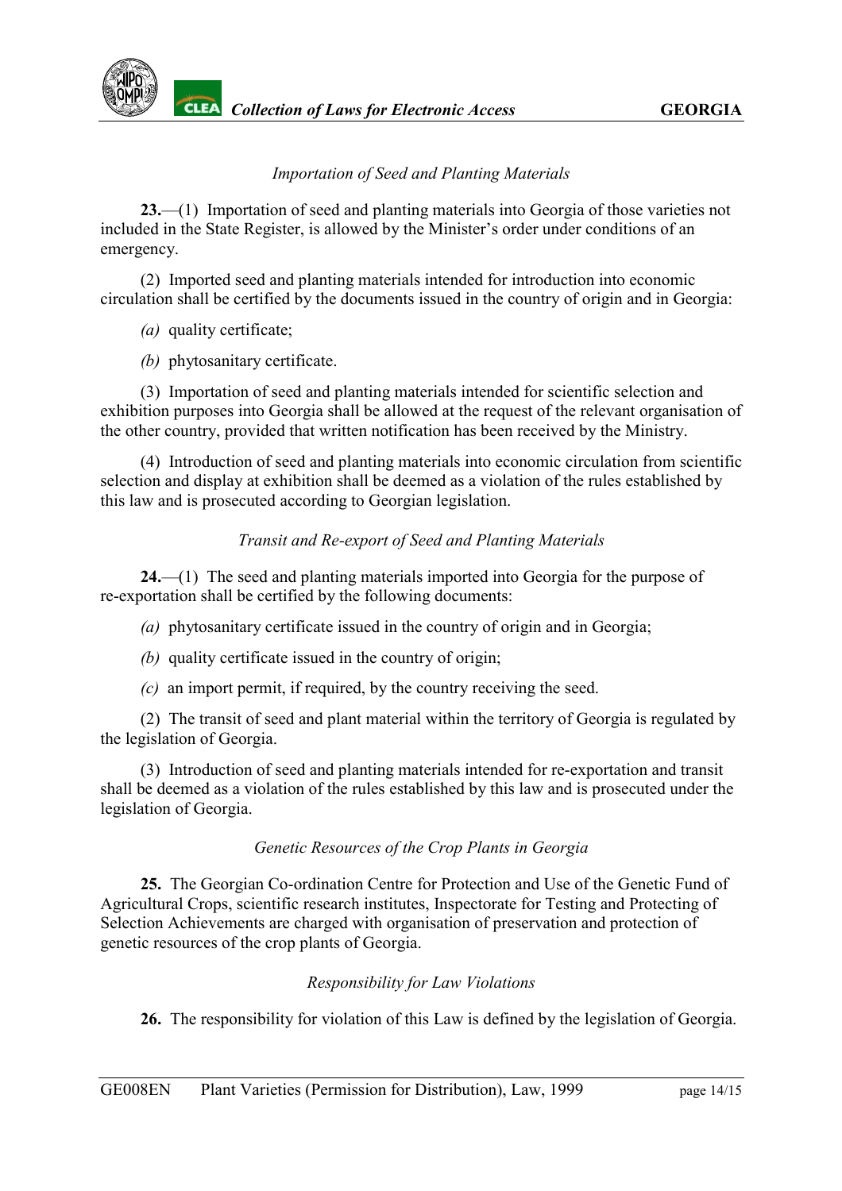### *Importation of Seed and Planting Materials*

<span id="page-13-0"></span>**23.**—(1) Importation of seed and planting materials into Georgia of those varieties not included in the State Register, is allowed by the Minister's order under conditions of an emergency.

(2) Imported seed and planting materials intended for introduction into economic circulation shall be certified by the documents issued in the country of origin and in Georgia:

*(a)* quality certificate;

*(b)* phytosanitary certificate.

(3) Importation of seed and planting materials intended for scientific selection and exhibition purposes into Georgia shall be allowed at the request of the relevant organisation of the other country, provided that written notification has been received by the Ministry.

(4) Introduction of seed and planting materials into economic circulation from scientific selection and display at exhibition shall be deemed as a violation of the rules established by this law and is prosecuted according to Georgian legislation.

### *Transit and Re-export of Seed and Planting Materials*

<span id="page-13-1"></span>**24.**—(1) The seed and planting materials imported into Georgia for the purpose of re-exportation shall be certified by the following documents:

- *(a)* phytosanitary certificate issued in the country of origin and in Georgia;
- *(b)* quality certificate issued in the country of origin;
- *(c)* an import permit, if required, by the country receiving the seed.

(2) The transit of seed and plant material within the territory of Georgia is regulated by the legislation of Georgia.

(3) Introduction of seed and planting materials intended for re-exportation and transit shall be deemed as a violation of the rules established by this law and is prosecuted under the legislation of Georgia.

#### *Genetic Resources of the Crop Plants in Georgia*

<span id="page-13-2"></span>**25.** The Georgian Co-ordination Centre for Protection and Use of the Genetic Fund of Agricultural Crops, scientific research institutes, Inspectorate for Testing and Protecting of Selection Achievements are charged with organisation of preservation and protection of genetic resources of the crop plants of Georgia.

## *Responsibility for Law Violations*

<span id="page-13-3"></span>**26.** The responsibility for violation of this Law is defined by the legislation of Georgia.